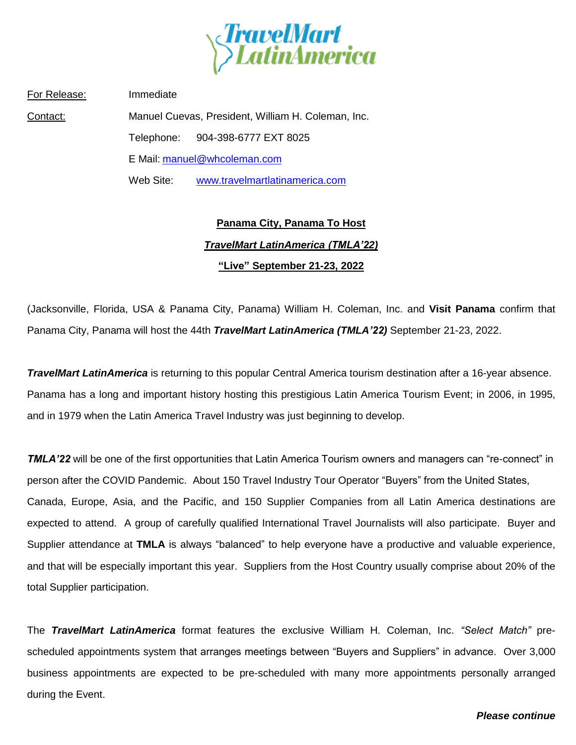

For Release: Immediate Contact: Manuel Cuevas, President, William H. Coleman, Inc. Telephone: 904-398-6777 EXT 8025 E Mail: [manuel@whcoleman.com](mailto:manuel@whcoleman.com) Web Site: [www.travelmartlatinamerica.com](http://www.travelmartlatinamerica.com/)

## **Panama City, Panama To Host** *TravelMart LatinAmerica (TMLA'22)* **"Live" September 21-23, 2022**

(Jacksonville, Florida, USA & Panama City, Panama) William H. Coleman, Inc. and **Visit Panama** confirm that Panama City, Panama will host the 44th *TravelMart LatinAmerica (TMLA'22)* September 21-23, 2022.

*TravelMart LatinAmerica* is returning to this popular Central America tourism destination after a 16-year absence. Panama has a long and important history hosting this prestigious Latin America Tourism Event; in 2006, in 1995, and in 1979 when the Latin America Travel Industry was just beginning to develop.

*TMLA'22* will be one of the first opportunities that Latin America Tourism owners and managers can "re-connect" in person after the COVID Pandemic. About 150 Travel Industry Tour Operator "Buyers" from the United States, Canada, Europe, Asia, and the Pacific, and 150 Supplier Companies from all Latin America destinations are expected to attend. A group of carefully qualified International Travel Journalists will also participate. Buyer and Supplier attendance at **TMLA** is always "balanced" to help everyone have a productive and valuable experience, and that will be especially important this year. Suppliers from the Host Country usually comprise about 20% of the total Supplier participation.

The *TravelMart LatinAmerica* format features the exclusive William H. Coleman, Inc. *"Select Match"* prescheduled appointments system that arranges meetings between "Buyers and Suppliers" in advance. Over 3,000 business appointments are expected to be pre-scheduled with many more appointments personally arranged during the Event.